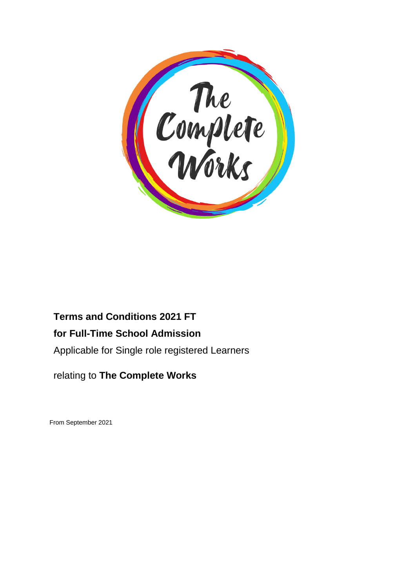

# **Terms and Conditions 2021 FT**

# **for Full-Time School Admission**

Applicable for Single role registered Learners

# relating to **The Complete Works**

From September 2021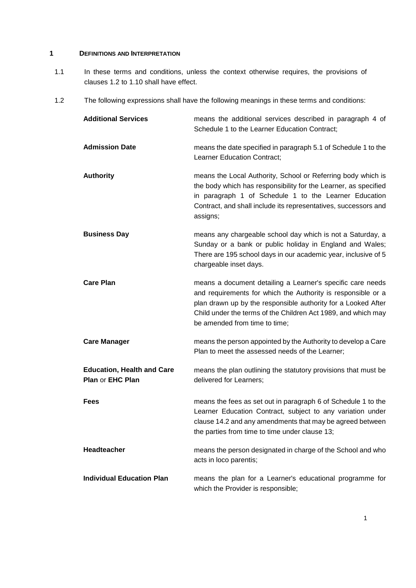# **1 DEFINITIONS AND INTERPRETATION**

- 1.1 In these terms and conditions, unless the context otherwise requires, the provisions of clauses 1.2 to 1.10 shall have effect.
- 1.2 The following expressions shall have the following meanings in these terms and conditions:

| <b>Additional Services</b>                            | means the additional services described in paragraph 4 of<br>Schedule 1 to the Learner Education Contract;                                                                                                                                                                                    |
|-------------------------------------------------------|-----------------------------------------------------------------------------------------------------------------------------------------------------------------------------------------------------------------------------------------------------------------------------------------------|
| <b>Admission Date</b>                                 | means the date specified in paragraph 5.1 of Schedule 1 to the<br>Learner Education Contract;                                                                                                                                                                                                 |
| <b>Authority</b>                                      | means the Local Authority, School or Referring body which is<br>the body which has responsibility for the Learner, as specified<br>in paragraph 1 of Schedule 1 to the Learner Education<br>Contract, and shall include its representatives, successors and<br>assigns;                       |
| <b>Business Day</b>                                   | means any chargeable school day which is not a Saturday, a<br>Sunday or a bank or public holiday in England and Wales;<br>There are 195 school days in our academic year, inclusive of 5<br>chargeable inset days.                                                                            |
| <b>Care Plan</b>                                      | means a document detailing a Learner's specific care needs<br>and requirements for which the Authority is responsible or a<br>plan drawn up by the responsible authority for a Looked After<br>Child under the terms of the Children Act 1989, and which may<br>be amended from time to time; |
| <b>Care Manager</b>                                   | means the person appointed by the Authority to develop a Care<br>Plan to meet the assessed needs of the Learner;                                                                                                                                                                              |
| <b>Education, Health and Care</b><br>Plan or EHC Plan | means the plan outlining the statutory provisions that must be<br>delivered for Learners;                                                                                                                                                                                                     |
| <b>Fees</b>                                           | means the fees as set out in paragraph 6 of Schedule 1 to the<br>Learner Education Contract, subject to any variation under<br>clause 14.2 and any amendments that may be agreed between<br>the parties from time to time under clause 13;                                                    |
| <b>Headteacher</b>                                    | means the person designated in charge of the School and who<br>acts in loco parentis;                                                                                                                                                                                                         |
| <b>Individual Education Plan</b>                      | means the plan for a Learner's educational programme for<br>which the Provider is responsible;                                                                                                                                                                                                |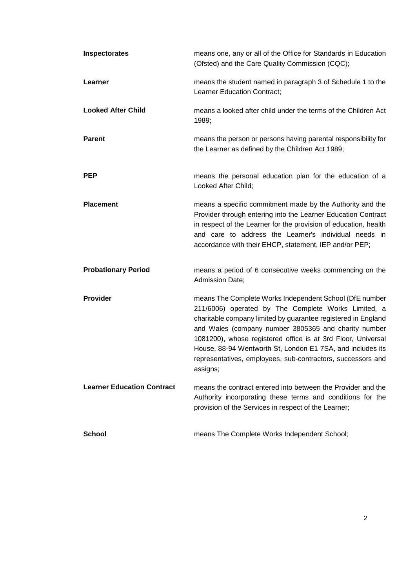| Inspectorates                     | means one, any or all of the Office for Standards in Education<br>(Ofsted) and the Care Quality Commission (CQC);                                                                                                                                                                                                                                                                                                                                |
|-----------------------------------|--------------------------------------------------------------------------------------------------------------------------------------------------------------------------------------------------------------------------------------------------------------------------------------------------------------------------------------------------------------------------------------------------------------------------------------------------|
| Learner                           | means the student named in paragraph 3 of Schedule 1 to the<br>Learner Education Contract;                                                                                                                                                                                                                                                                                                                                                       |
| <b>Looked After Child</b>         | means a looked after child under the terms of the Children Act<br>1989;                                                                                                                                                                                                                                                                                                                                                                          |
| <b>Parent</b>                     | means the person or persons having parental responsibility for<br>the Learner as defined by the Children Act 1989;                                                                                                                                                                                                                                                                                                                               |
| <b>PEP</b>                        | means the personal education plan for the education of a<br>Looked After Child;                                                                                                                                                                                                                                                                                                                                                                  |
| <b>Placement</b>                  | means a specific commitment made by the Authority and the<br>Provider through entering into the Learner Education Contract<br>in respect of the Learner for the provision of education, health<br>and care to address the Learner's individual needs in<br>accordance with their EHCP, statement, IEP and/or PEP;                                                                                                                                |
| <b>Probationary Period</b>        | means a period of 6 consecutive weeks commencing on the<br>Admission Date;                                                                                                                                                                                                                                                                                                                                                                       |
| <b>Provider</b>                   | means The Complete Works Independent School (DfE number<br>211/6006) operated by The Complete Works Limited, a<br>charitable company limited by guarantee registered in England<br>and Wales (company number 3805365 and charity number<br>1081200), whose registered office is at 3rd Floor, Universal<br>House, 88-94 Wentworth St, London E1 7SA, and includes its<br>representatives, employees, sub-contractors, successors and<br>assigns; |
| <b>Learner Education Contract</b> | means the contract entered into between the Provider and the<br>Authority incorporating these terms and conditions for the<br>provision of the Services in respect of the Learner;                                                                                                                                                                                                                                                               |
| <b>School</b>                     | means The Complete Works Independent School;                                                                                                                                                                                                                                                                                                                                                                                                     |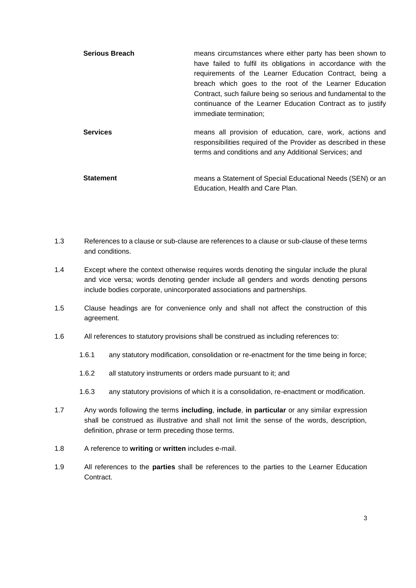| <b>Serious Breach</b> | means circumstances where either party has been shown to<br>have failed to fulfil its obligations in accordance with the<br>requirements of the Learner Education Contract, being a<br>breach which goes to the root of the Learner Education<br>Contract, such failure being so serious and fundamental to the<br>continuance of the Learner Education Contract as to justify<br>immediate termination; |
|-----------------------|----------------------------------------------------------------------------------------------------------------------------------------------------------------------------------------------------------------------------------------------------------------------------------------------------------------------------------------------------------------------------------------------------------|
| <b>Services</b>       | means all provision of education, care, work, actions and<br>responsibilities required of the Provider as described in these<br>terms and conditions and any Additional Services; and                                                                                                                                                                                                                    |
| <b>Statement</b>      | means a Statement of Special Educational Needs (SEN) or an<br>Education. Health and Care Plan.                                                                                                                                                                                                                                                                                                           |

- 1.3 References to a clause or sub-clause are references to a clause or sub-clause of these terms and conditions.
- 1.4 Except where the context otherwise requires words denoting the singular include the plural and vice versa; words denoting gender include all genders and words denoting persons include bodies corporate, unincorporated associations and partnerships.
- 1.5 Clause headings are for convenience only and shall not affect the construction of this agreement.
- 1.6 All references to statutory provisions shall be construed as including references to:
	- 1.6.1 any statutory modification, consolidation or re-enactment for the time being in force;
	- 1.6.2 all statutory instruments or orders made pursuant to it; and
	- 1.6.3 any statutory provisions of which it is a consolidation, re-enactment or modification.
- 1.7 Any words following the terms **including**, **include**, **in particular** or any similar expression shall be construed as illustrative and shall not limit the sense of the words, description, definition, phrase or term preceding those terms.
- 1.8 A reference to **writing** or **written** includes e-mail.
- 1.9 All references to the **parties** shall be references to the parties to the Learner Education Contract.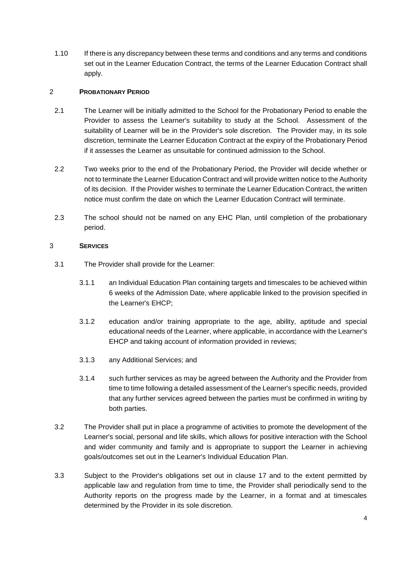1.10 If there is any discrepancy between these terms and conditions and any terms and conditions set out in the Learner Education Contract, the terms of the Learner Education Contract shall apply.

### 2 **PROBATIONARY PERIOD**

- 2.1 The Learner will be initially admitted to the School for the Probationary Period to enable the Provider to assess the Learner's suitability to study at the School. Assessment of the suitability of Learner will be in the Provider's sole discretion. The Provider may, in its sole discretion, terminate the Learner Education Contract at the expiry of the Probationary Period if it assesses the Learner as unsuitable for continued admission to the School.
- 2.2 Two weeks prior to the end of the Probationary Period, the Provider will decide whether or not to terminate the Learner Education Contract and will provide written notice to the Authority of its decision. If the Provider wishes to terminate the Learner Education Contract, the written notice must confirm the date on which the Learner Education Contract will terminate.
- 2.3 The school should not be named on any EHC Plan, until completion of the probationary period.

# 3 **SERVICES**

- 3.1 The Provider shall provide for the Learner:
	- 3.1.1 an Individual Education Plan containing targets and timescales to be achieved within 6 weeks of the Admission Date, where applicable linked to the provision specified in the Learner's EHCP;
	- 3.1.2 education and/or training appropriate to the age, ability, aptitude and special educational needs of the Learner, where applicable, in accordance with the Learner's EHCP and taking account of information provided in reviews;
	- 3.1.3 any Additional Services; and
	- 3.1.4 such further services as may be agreed between the Authority and the Provider from time to time following a detailed assessment of the Learner's specific needs, provided that any further services agreed between the parties must be confirmed in writing by both parties.
- 3.2 The Provider shall put in place a programme of activities to promote the development of the Learner's social, personal and life skills, which allows for positive interaction with the School and wider community and family and is appropriate to support the Learner in achieving goals/outcomes set out in the Learner's Individual Education Plan.
- 3.3 Subject to the Provider's obligations set out in clause 17 and to the extent permitted by applicable law and regulation from time to time, the Provider shall periodically send to the Authority reports on the progress made by the Learner, in a format and at timescales determined by the Provider in its sole discretion.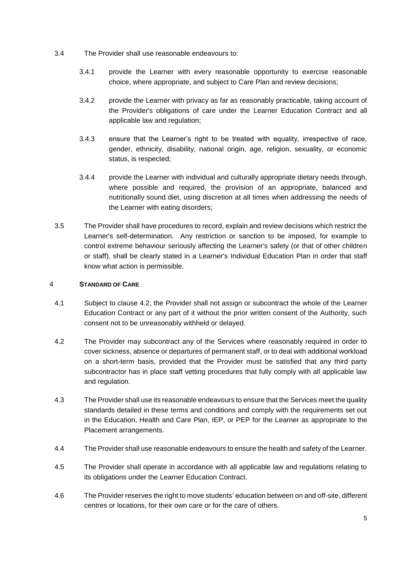- 3.4 The Provider shall use reasonable endeavours to:
	- 3.4.1 provide the Learner with every reasonable opportunity to exercise reasonable choice, where appropriate, and subject to Care Plan and review decisions;
	- 3.4.2 provide the Learner with privacy as far as reasonably practicable, taking account of the Provider's obligations of care under the Learner Education Contract and all applicable law and regulation;
	- 3.4.3 ensure that the Learner's right to be treated with equality, irrespective of race, gender, ethnicity, disability, national origin, age, religion, sexuality, or economic status, is respected;
	- 3.4.4 provide the Learner with individual and culturally appropriate dietary needs through, where possible and required, the provision of an appropriate, balanced and nutritionally sound diet, using discretion at all times when addressing the needs of the Learner with eating disorders;
- 3.5 The Provider shall have procedures to record, explain and review decisions which restrict the Learner's self-determination. Any restriction or sanction to be imposed, for example to control extreme behaviour seriously affecting the Learner's safety (or that of other children or staff), shall be clearly stated in a Learner's Individual Education Plan in order that staff know what action is permissible.

#### 4 **STANDARD OF CARE**

- 4.1 Subject to clause 4.2, the Provider shall not assign or subcontract the whole of the Learner Education Contract or any part of it without the prior written consent of the Authority, such consent not to be unreasonably withheld or delayed.
- 4.2 The Provider may subcontract any of the Services where reasonably required in order to cover sickness, absence or departures of permanent staff, or to deal with additional workload on a short-term basis, provided that the Provider must be satisfied that any third party subcontractor has in place staff vetting procedures that fully comply with all applicable law and regulation.
- 4.3 The Provider shall use its reasonable endeavours to ensure that the Services meet the quality standards detailed in these terms and conditions and comply with the requirements set out in the Education, Health and Care Plan, IEP, or PEP for the Learner as appropriate to the Placement arrangements.
- 4.4 The Provider shall use reasonable endeavours to ensure the health and safety of the Learner.
- 4.5 The Provider shall operate in accordance with all applicable law and regulations relating to its obligations under the Learner Education Contract.
- 4.6 The Provider reserves the right to move students' education between on and off-site, different centres or locations, for their own care or for the care of others.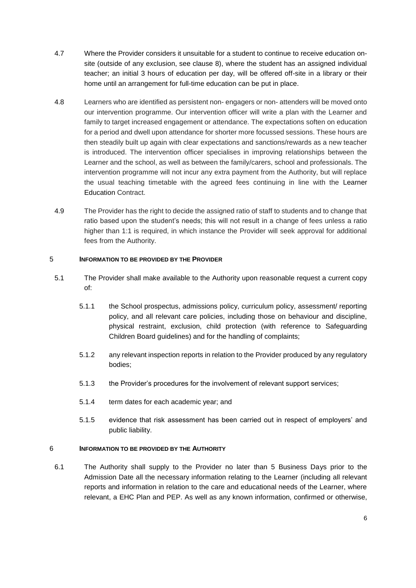- 4.7 Where the Provider considers it unsuitable for a student to continue to receive education onsite (outside of any exclusion, see clause 8), where the student has an assigned individual teacher; an initial 3 hours of education per day, will be offered off-site in a library or their home until an arrangement for full-time education can be put in place.
- 4.8 Learners who are identified as persistent non- engagers or non- attenders will be moved onto our intervention programme. Our intervention officer will write a plan with the Learner and family to target increased engagement or attendance. The expectations soften on education for a period and dwell upon attendance for shorter more focussed sessions. These hours are then steadily built up again with clear expectations and sanctions/rewards as a new teacher is introduced. The intervention officer specialises in improving relationships between the Learner and the school, as well as between the family/carers, school and professionals. The intervention programme will not incur any extra payment from the Authority, but will replace the usual teaching timetable with the agreed fees continuing in line with the Learner Education Contract.
- 4.9 The Provider has the right to decide the assigned ratio of staff to students and to change that ratio based upon the student's needs; this will not result in a change of fees unless a ratio higher than 1:1 is required, in which instance the Provider will seek approval for additional fees from the Authority.

# 5 **INFORMATION TO BE PROVIDED BY THE PROVIDER**

- 5.1 The Provider shall make available to the Authority upon reasonable request a current copy of:
	- 5.1.1 the School prospectus, admissions policy, curriculum policy, assessment/ reporting policy, and all relevant care policies, including those on behaviour and discipline, physical restraint, exclusion, child protection (with reference to Safeguarding Children Board guidelines) and for the handling of complaints;
	- 5.1.2 any relevant inspection reports in relation to the Provider produced by any regulatory bodies;
	- 5.1.3 the Provider's procedures for the involvement of relevant support services;
	- 5.1.4 term dates for each academic year; and
	- 5.1.5 evidence that risk assessment has been carried out in respect of employers' and public liability.

#### 6 **INFORMATION TO BE PROVIDED BY THE AUTHORITY**

6.1 The Authority shall supply to the Provider no later than 5 Business Days prior to the Admission Date all the necessary information relating to the Learner (including all relevant reports and information in relation to the care and educational needs of the Learner, where relevant, a EHC Plan and PEP. As well as any known information, confirmed or otherwise,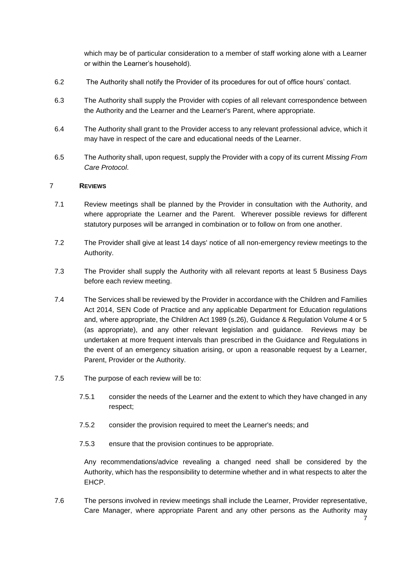which may be of particular consideration to a member of staff working alone with a Learner or within the Learner's household).

- 6.2 The Authority shall notify the Provider of its procedures for out of office hours' contact.
- 6.3 The Authority shall supply the Provider with copies of all relevant correspondence between the Authority and the Learner and the Learner's Parent, where appropriate.
- 6.4 The Authority shall grant to the Provider access to any relevant professional advice, which it may have in respect of the care and educational needs of the Learner.
- 6.5 The Authority shall, upon request, supply the Provider with a copy of its current *Missing From Care Protocol*.

#### 7 **REVIEWS**

- 7.1 Review meetings shall be planned by the Provider in consultation with the Authority, and where appropriate the Learner and the Parent. Wherever possible reviews for different statutory purposes will be arranged in combination or to follow on from one another.
- 7.2 The Provider shall give at least 14 days' notice of all non-emergency review meetings to the Authority.
- 7.3 The Provider shall supply the Authority with all relevant reports at least 5 Business Days before each review meeting.
- 7.4 The Services shall be reviewed by the Provider in accordance with the Children and Families Act 2014, SEN Code of Practice and any applicable Department for Education regulations and, where appropriate, the Children Act 1989 (s.26), Guidance & Regulation Volume 4 or 5 (as appropriate), and any other relevant legislation and guidance. Reviews may be undertaken at more frequent intervals than prescribed in the Guidance and Regulations in the event of an emergency situation arising, or upon a reasonable request by a Learner, Parent, Provider or the Authority.
- 7.5 The purpose of each review will be to:
	- 7.5.1 consider the needs of the Learner and the extent to which they have changed in any respect;
	- 7.5.2 consider the provision required to meet the Learner's needs; and
	- 7.5.3 ensure that the provision continues to be appropriate.

Any recommendations/advice revealing a changed need shall be considered by the Authority, which has the responsibility to determine whether and in what respects to alter the EHCP.

7.6 The persons involved in review meetings shall include the Learner, Provider representative, Care Manager, where appropriate Parent and any other persons as the Authority may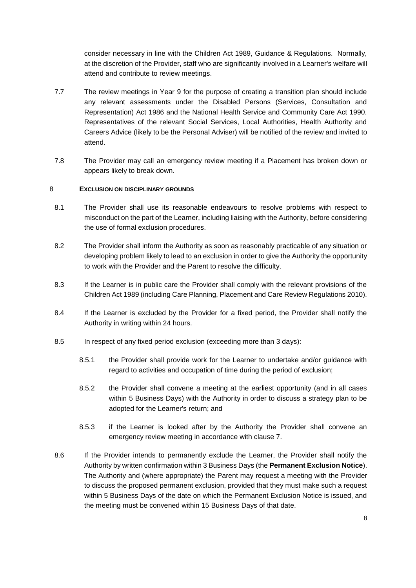consider necessary in line with the Children Act 1989, Guidance & Regulations. Normally, at the discretion of the Provider, staff who are significantly involved in a Learner's welfare will attend and contribute to review meetings.

- 7.7 The review meetings in Year 9 for the purpose of creating a transition plan should include any relevant assessments under the Disabled Persons (Services, Consultation and Representation) Act 1986 and the National Health Service and Community Care Act 1990. Representatives of the relevant Social Services, Local Authorities, Health Authority and Careers Advice (likely to be the Personal Adviser) will be notified of the review and invited to attend.
- 7.8 The Provider may call an emergency review meeting if a Placement has broken down or appears likely to break down.

#### 8 **EXCLUSION ON DISCIPLINARY GROUNDS**

- 8.1 The Provider shall use its reasonable endeavours to resolve problems with respect to misconduct on the part of the Learner, including liaising with the Authority, before considering the use of formal exclusion procedures.
- 8.2 The Provider shall inform the Authority as soon as reasonably practicable of any situation or developing problem likely to lead to an exclusion in order to give the Authority the opportunity to work with the Provider and the Parent to resolve the difficulty.
- 8.3 If the Learner is in public care the Provider shall comply with the relevant provisions of the Children Act 1989 (including Care Planning, Placement and Care Review Regulations 2010).
- 8.4 If the Learner is excluded by the Provider for a fixed period, the Provider shall notify the Authority in writing within 24 hours.
- 8.5 In respect of any fixed period exclusion (exceeding more than 3 days):
	- 8.5.1 the Provider shall provide work for the Learner to undertake and/or guidance with regard to activities and occupation of time during the period of exclusion;
	- 8.5.2 the Provider shall convene a meeting at the earliest opportunity (and in all cases within 5 Business Days) with the Authority in order to discuss a strategy plan to be adopted for the Learner's return; and
	- 8.5.3 if the Learner is looked after by the Authority the Provider shall convene an emergency review meeting in accordance with clause 7.
- 8.6 If the Provider intends to permanently exclude the Learner, the Provider shall notify the Authority by written confirmation within 3 Business Days (the **Permanent Exclusion Notice**). The Authority and (where appropriate) the Parent may request a meeting with the Provider to discuss the proposed permanent exclusion, provided that they must make such a request within 5 Business Days of the date on which the Permanent Exclusion Notice is issued, and the meeting must be convened within 15 Business Days of that date.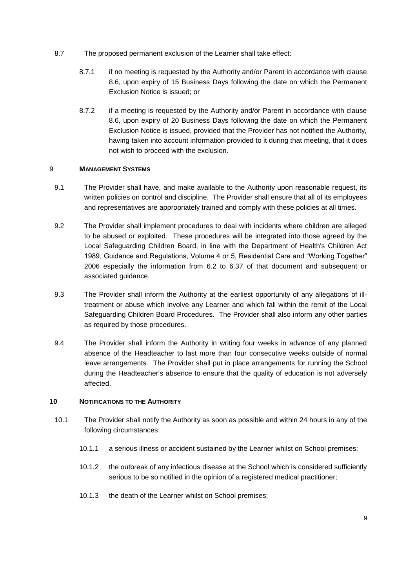- 8.7 The proposed permanent exclusion of the Learner shall take effect:
	- 8.7.1 if no meeting is requested by the Authority and/or Parent in accordance with clause 8.6, upon expiry of 15 Business Days following the date on which the Permanent Exclusion Notice is issued; or
	- 8.7.2 if a meeting is requested by the Authority and/or Parent in accordance with clause 8.6, upon expiry of 20 Business Days following the date on which the Permanent Exclusion Notice is issued, provided that the Provider has not notified the Authority, having taken into account information provided to it during that meeting, that it does not wish to proceed with the exclusion.

#### 9 **MANAGEMENT SYSTEMS**

- 9.1 The Provider shall have, and make available to the Authority upon reasonable request, its written policies on control and discipline. The Provider shall ensure that all of its employees and representatives are appropriately trained and comply with these policies at all times.
- 9.2 The Provider shall implement procedures to deal with incidents where children are alleged to be abused or exploited. These procedures will be integrated into those agreed by the Local Safeguarding Children Board, in line with the Department of Health's Children Act 1989, Guidance and Regulations, Volume 4 or 5, Residential Care and "Working Together" 2006 especially the information from 6.2 to 6.37 of that document and subsequent or associated guidance.
- 9.3 The Provider shall inform the Authority at the earliest opportunity of any allegations of illtreatment or abuse which involve any Learner and which fall within the remit of the Local Safeguarding Children Board Procedures. The Provider shall also inform any other parties as required by those procedures.
- 9.4 The Provider shall inform the Authority in writing four weeks in advance of any planned absence of the Headteacher to last more than four consecutive weeks outside of normal leave arrangements. The Provider shall put in place arrangements for running the School during the Headteacher's absence to ensure that the quality of education is not adversely affected.

#### **10 NOTIFICATIONS TO THE AUTHORITY**

- 10.1 The Provider shall notify the Authority as soon as possible and within 24 hours in any of the following circumstances:
	- 10.1.1 a serious illness or accident sustained by the Learner whilst on School premises;
	- 10.1.2 the outbreak of any infectious disease at the School which is considered sufficiently serious to be so notified in the opinion of a registered medical practitioner;
	- 10.1.3 the death of the Learner whilst on School premises;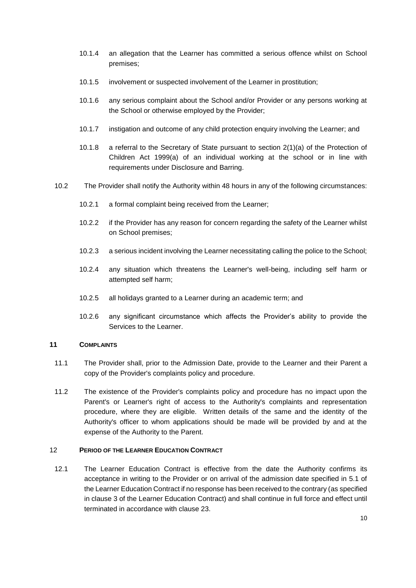- 10.1.4 an allegation that the Learner has committed a serious offence whilst on School premises;
- 10.1.5 involvement or suspected involvement of the Learner in prostitution;
- 10.1.6 any serious complaint about the School and/or Provider or any persons working at the School or otherwise employed by the Provider;
- 10.1.7 instigation and outcome of any child protection enquiry involving the Learner; and
- 10.1.8 a referral to the Secretary of State pursuant to section 2(1)(a) of the Protection of Children Act 1999(a) of an individual working at the school or in line with requirements under Disclosure and Barring.
- 10.2 The Provider shall notify the Authority within 48 hours in any of the following circumstances:
	- 10.2.1 a formal complaint being received from the Learner;
	- 10.2.2 if the Provider has any reason for concern regarding the safety of the Learner whilst on School premises;
	- 10.2.3 a serious incident involving the Learner necessitating calling the police to the School;
	- 10.2.4 any situation which threatens the Learner's well-being, including self harm or attempted self harm;
	- 10.2.5 all holidays granted to a Learner during an academic term; and
	- 10.2.6 any significant circumstance which affects the Provider's ability to provide the Services to the Learner.

#### **11 COMPLAINTS**

- 11.1 The Provider shall, prior to the Admission Date, provide to the Learner and their Parent a copy of the Provider's complaints policy and procedure.
- 11.2 The existence of the Provider's complaints policy and procedure has no impact upon the Parent's or Learner's right of access to the Authority's complaints and representation procedure, where they are eligible. Written details of the same and the identity of the Authority's officer to whom applications should be made will be provided by and at the expense of the Authority to the Parent.

#### 12 **PERIOD OF THE LEARNER EDUCATION CONTRACT**

12.1 The Learner Education Contract is effective from the date the Authority confirms its acceptance in writing to the Provider or on arrival of the admission date specified in 5.1 of the Learner Education Contract if no response has been received to the contrary (as specified in clause 3 of the Learner Education Contract) and shall continue in full force and effect until terminated in accordance with clause 23.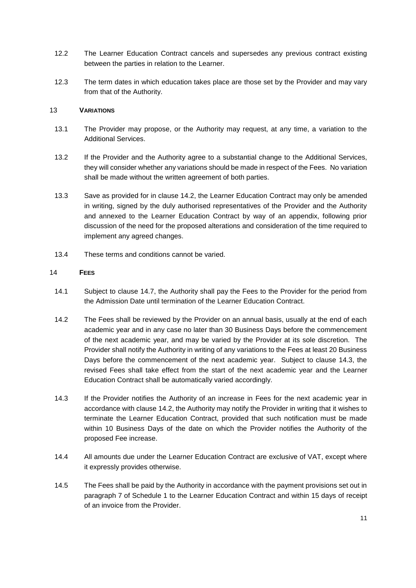- 12.2 The Learner Education Contract cancels and supersedes any previous contract existing between the parties in relation to the Learner.
- 12.3 The term dates in which education takes place are those set by the Provider and may vary from that of the Authority.

#### 13 **VARIATIONS**

- 13.1 The Provider may propose, or the Authority may request, at any time, a variation to the Additional Services.
- 13.2 If the Provider and the Authority agree to a substantial change to the Additional Services, they will consider whether any variations should be made in respect of the Fees. No variation shall be made without the written agreement of both parties.
- 13.3 Save as provided for in clause 14.2, the Learner Education Contract may only be amended in writing, signed by the duly authorised representatives of the Provider and the Authority and annexed to the Learner Education Contract by way of an appendix, following prior discussion of the need for the proposed alterations and consideration of the time required to implement any agreed changes.
- 13.4 These terms and conditions cannot be varied.

#### 14 **FEES**

- 14.1 Subject to clause 14.7, the Authority shall pay the Fees to the Provider for the period from the Admission Date until termination of the Learner Education Contract.
- 14.2 The Fees shall be reviewed by the Provider on an annual basis, usually at the end of each academic year and in any case no later than 30 Business Days before the commencement of the next academic year, and may be varied by the Provider at its sole discretion. The Provider shall notify the Authority in writing of any variations to the Fees at least 20 Business Days before the commencement of the next academic year. Subject to clause 14.3, the revised Fees shall take effect from the start of the next academic year and the Learner Education Contract shall be automatically varied accordingly.
- 14.3 If the Provider notifies the Authority of an increase in Fees for the next academic year in accordance with clause 14.2, the Authority may notify the Provider in writing that it wishes to terminate the Learner Education Contract, provided that such notification must be made within 10 Business Days of the date on which the Provider notifies the Authority of the proposed Fee increase.
- 14.4 All amounts due under the Learner Education Contract are exclusive of VAT, except where it expressly provides otherwise.
- 14.5 The Fees shall be paid by the Authority in accordance with the payment provisions set out in paragraph 7 of Schedule 1 to the Learner Education Contract and within 15 days of receipt of an invoice from the Provider.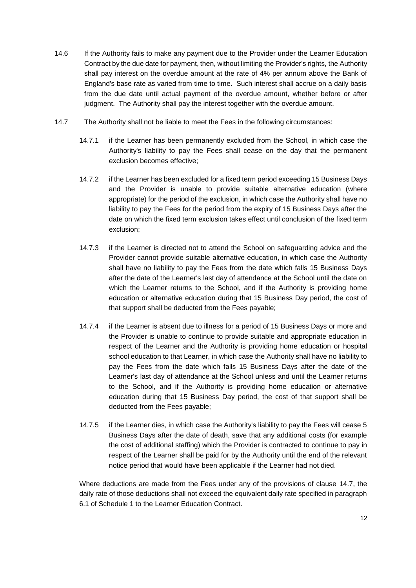- 14.6 If the Authority fails to make any payment due to the Provider under the Learner Education Contract by the due date for payment, then, without limiting the Provider's rights, the Authority shall pay interest on the overdue amount at the rate of 4% per annum above the Bank of England's base rate as varied from time to time. Such interest shall accrue on a daily basis from the due date until actual payment of the overdue amount, whether before or after judgment. The Authority shall pay the interest together with the overdue amount.
- 14.7 The Authority shall not be liable to meet the Fees in the following circumstances:
	- 14.7.1 if the Learner has been permanently excluded from the School, in which case the Authority's liability to pay the Fees shall cease on the day that the permanent exclusion becomes effective;
	- 14.7.2 if the Learner has been excluded for a fixed term period exceeding 15 Business Days and the Provider is unable to provide suitable alternative education (where appropriate) for the period of the exclusion, in which case the Authority shall have no liability to pay the Fees for the period from the expiry of 15 Business Days after the date on which the fixed term exclusion takes effect until conclusion of the fixed term exclusion;
	- 14.7.3 if the Learner is directed not to attend the School on safeguarding advice and the Provider cannot provide suitable alternative education, in which case the Authority shall have no liability to pay the Fees from the date which falls 15 Business Days after the date of the Learner's last day of attendance at the School until the date on which the Learner returns to the School, and if the Authority is providing home education or alternative education during that 15 Business Day period, the cost of that support shall be deducted from the Fees payable;
	- 14.7.4 if the Learner is absent due to illness for a period of 15 Business Days or more and the Provider is unable to continue to provide suitable and appropriate education in respect of the Learner and the Authority is providing home education or hospital school education to that Learner, in which case the Authority shall have no liability to pay the Fees from the date which falls 15 Business Days after the date of the Learner's last day of attendance at the School unless and until the Learner returns to the School, and if the Authority is providing home education or alternative education during that 15 Business Day period, the cost of that support shall be deducted from the Fees payable;
	- 14.7.5 if the Learner dies, in which case the Authority's liability to pay the Fees will cease 5 Business Days after the date of death, save that any additional costs (for example the cost of additional staffing) which the Provider is contracted to continue to pay in respect of the Learner shall be paid for by the Authority until the end of the relevant notice period that would have been applicable if the Learner had not died.

Where deductions are made from the Fees under any of the provisions of clause 14.7, the daily rate of those deductions shall not exceed the equivalent daily rate specified in paragraph 6.1 of Schedule 1 to the Learner Education Contract.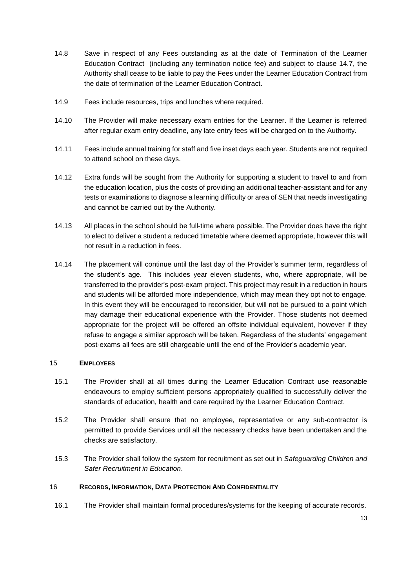- 14.8 Save in respect of any Fees outstanding as at the date of Termination of the Learner Education Contract (including any termination notice fee) and subject to clause 14.7, the Authority shall cease to be liable to pay the Fees under the Learner Education Contract from the date of termination of the Learner Education Contract.
- 14.9 Fees include resources, trips and lunches where required.
- 14.10 The Provider will make necessary exam entries for the Learner. If the Learner is referred after regular exam entry deadline, any late entry fees will be charged on to the Authority.
- 14.11 Fees include annual training for staff and five inset days each year. Students are not required to attend school on these days.
- 14.12 Extra funds will be sought from the Authority for supporting a student to travel to and from the education location, plus the costs of providing an additional teacher-assistant and for any tests or examinations to diagnose a learning difficulty or area of SEN that needs investigating and cannot be carried out by the Authority.
- 14.13 All places in the school should be full-time where possible. The Provider does have the right to elect to deliver a student a reduced timetable where deemed appropriate, however this will not result in a reduction in fees.
- 14.14 The placement will continue until the last day of the Provider's summer term, regardless of the student's age. This includes year eleven students, who, where appropriate, will be transferred to the provider's post-exam project. This project may result in a reduction in hours and students will be afforded more independence, which may mean they opt not to engage. In this event they will be encouraged to reconsider, but will not be pursued to a point which may damage their educational experience with the Provider. Those students not deemed appropriate for the project will be offered an offsite individual equivalent, however if they refuse to engage a similar approach will be taken. Regardless of the students' engagement post-exams all fees are still chargeable until the end of the Provider's academic year.

#### 15 **EMPLOYEES**

- 15.1 The Provider shall at all times during the Learner Education Contract use reasonable endeavours to employ sufficient persons appropriately qualified to successfully deliver the standards of education, health and care required by the Learner Education Contract.
- 15.2 The Provider shall ensure that no employee, representative or any sub-contractor is permitted to provide Services until all the necessary checks have been undertaken and the checks are satisfactory.
- 15.3 The Provider shall follow the system for recruitment as set out in *Safeguarding Children and Safer Recruitment in Education*.

#### 16 **RECORDS, INFORMATION, DATA PROTECTION AND CONFIDENTIALITY**

16.1 The Provider shall maintain formal procedures/systems for the keeping of accurate records.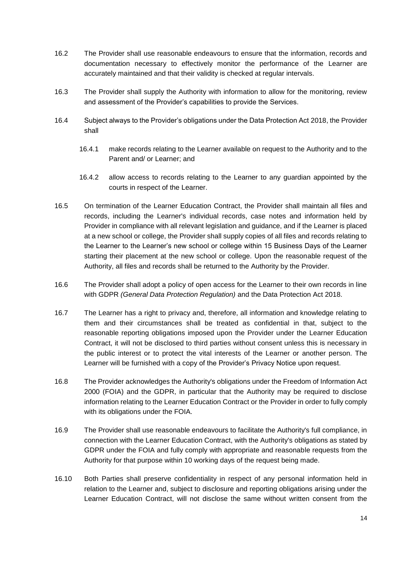- 16.2 The Provider shall use reasonable endeavours to ensure that the information, records and documentation necessary to effectively monitor the performance of the Learner are accurately maintained and that their validity is checked at regular intervals.
- 16.3 The Provider shall supply the Authority with information to allow for the monitoring, review and assessment of the Provider's capabilities to provide the Services.
- 16.4 Subject always to the Provider's obligations under the Data Protection Act 2018, the Provider shall
	- 16.4.1 make records relating to the Learner available on request to the Authority and to the Parent and/ or Learner; and
	- 16.4.2 allow access to records relating to the Learner to any guardian appointed by the courts in respect of the Learner.
- 16.5 On termination of the Learner Education Contract, the Provider shall maintain all files and records, including the Learner's individual records, case notes and information held by Provider in compliance with all relevant legislation and guidance, and if the Learner is placed at a new school or college, the Provider shall supply copies of all files and records relating to the Learner to the Learner's new school or college within 15 Business Days of the Learner starting their placement at the new school or college. Upon the reasonable request of the Authority, all files and records shall be returned to the Authority by the Provider.
- 16.6 The Provider shall adopt a policy of open access for the Learner to their own records in line with GDPR *(General Data Protection Regulation)* and the Data Protection Act 2018.
- 16.7 The Learner has a right to privacy and, therefore, all information and knowledge relating to them and their circumstances shall be treated as confidential in that, subject to the reasonable reporting obligations imposed upon the Provider under the Learner Education Contract, it will not be disclosed to third parties without consent unless this is necessary in the public interest or to protect the vital interests of the Learner or another person. The Learner will be furnished with a copy of the Provider's Privacy Notice upon request.
- 16.8 The Provider acknowledges the Authority's obligations under the Freedom of Information Act 2000 (FOIA) and the GDPR, in particular that the Authority may be required to disclose information relating to the Learner Education Contract or the Provider in order to fully comply with its obligations under the FOIA.
- 16.9 The Provider shall use reasonable endeavours to facilitate the Authority's full compliance, in connection with the Learner Education Contract, with the Authority's obligations as stated by GDPR under the FOIA and fully comply with appropriate and reasonable requests from the Authority for that purpose within 10 working days of the request being made.
- 16.10 Both Parties shall preserve confidentiality in respect of any personal information held in relation to the Learner and, subject to disclosure and reporting obligations arising under the Learner Education Contract, will not disclose the same without written consent from the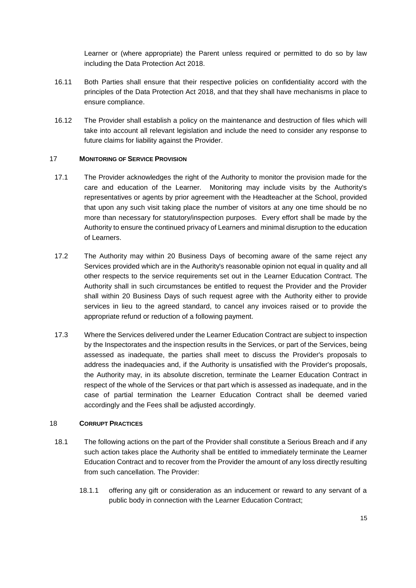Learner or (where appropriate) the Parent unless required or permitted to do so by law including the Data Protection Act 2018.

- 16.11 Both Parties shall ensure that their respective policies on confidentiality accord with the principles of the Data Protection Act 2018, and that they shall have mechanisms in place to ensure compliance.
- 16.12 The Provider shall establish a policy on the maintenance and destruction of files which will take into account all relevant legislation and include the need to consider any response to future claims for liability against the Provider.

#### 17 **MONITORING OF SERVICE PROVISION**

- 17.1 The Provider acknowledges the right of the Authority to monitor the provision made for the care and education of the Learner. Monitoring may include visits by the Authority's representatives or agents by prior agreement with the Headteacher at the School, provided that upon any such visit taking place the number of visitors at any one time should be no more than necessary for statutory/inspection purposes. Every effort shall be made by the Authority to ensure the continued privacy of Learners and minimal disruption to the education of Learners.
- 17.2 The Authority may within 20 Business Days of becoming aware of the same reject any Services provided which are in the Authority's reasonable opinion not equal in quality and all other respects to the service requirements set out in the Learner Education Contract. The Authority shall in such circumstances be entitled to request the Provider and the Provider shall within 20 Business Days of such request agree with the Authority either to provide services in lieu to the agreed standard, to cancel any invoices raised or to provide the appropriate refund or reduction of a following payment.
- 17.3 Where the Services delivered under the Learner Education Contract are subject to inspection by the Inspectorates and the inspection results in the Services, or part of the Services, being assessed as inadequate, the parties shall meet to discuss the Provider's proposals to address the inadequacies and, if the Authority is unsatisfied with the Provider's proposals, the Authority may, in its absolute discretion, terminate the Learner Education Contract in respect of the whole of the Services or that part which is assessed as inadequate, and in the case of partial termination the Learner Education Contract shall be deemed varied accordingly and the Fees shall be adjusted accordingly.

#### 18 **CORRUPT PRACTICES**

- 18.1 The following actions on the part of the Provider shall constitute a Serious Breach and if any such action takes place the Authority shall be entitled to immediately terminate the Learner Education Contract and to recover from the Provider the amount of any loss directly resulting from such cancellation. The Provider:
	- 18.1.1 offering any gift or consideration as an inducement or reward to any servant of a public body in connection with the Learner Education Contract;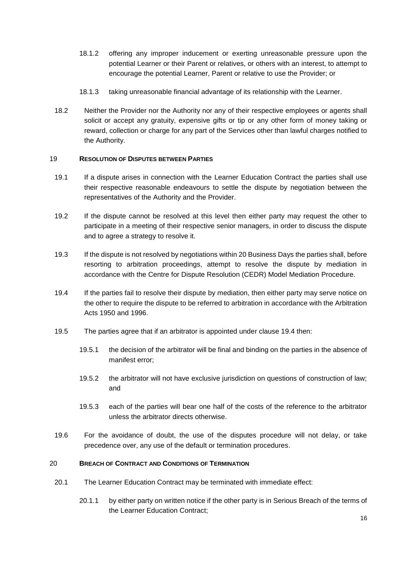- 18.1.2 offering any improper inducement or exerting unreasonable pressure upon the potential Learner or their Parent or relatives, or others with an interest, to attempt to encourage the potential Learner, Parent or relative to use the Provider; or
- 18.1.3 taking unreasonable financial advantage of its relationship with the Learner.
- 18.2 Neither the Provider nor the Authority nor any of their respective employees or agents shall solicit or accept any gratuity, expensive gifts or tip or any other form of money taking or reward, collection or charge for any part of the Services other than lawful charges notified to the Authority.

#### 19 **RESOLUTION OF DISPUTES BETWEEN PARTIES**

- 19.1 If a dispute arises in connection with the Learner Education Contract the parties shall use their respective reasonable endeavours to settle the dispute by negotiation between the representatives of the Authority and the Provider.
- 19.2 If the dispute cannot be resolved at this level then either party may request the other to participate in a meeting of their respective senior managers, in order to discuss the dispute and to agree a strategy to resolve it.
- 19.3 If the dispute is not resolved by negotiations within 20 Business Days the parties shall, before resorting to arbitration proceedings, attempt to resolve the dispute by mediation in accordance with the Centre for Dispute Resolution (CEDR) Model Mediation Procedure.
- 19.4 If the parties fail to resolve their dispute by mediation, then either party may serve notice on the other to require the dispute to be referred to arbitration in accordance with the Arbitration Acts 1950 and 1996.
- 19.5 The parties agree that if an arbitrator is appointed under clause 19.4 then:
	- 19.5.1 the decision of the arbitrator will be final and binding on the parties in the absence of manifest error;
	- 19.5.2 the arbitrator will not have exclusive jurisdiction on questions of construction of law; and
	- 19.5.3 each of the parties will bear one half of the costs of the reference to the arbitrator unless the arbitrator directs otherwise.
- 19.6 For the avoidance of doubt, the use of the disputes procedure will not delay, or take precedence over, any use of the default or termination procedures.

### 20 **BREACH OF CONTRACT AND CONDITIONS OF TERMINATION**

- 20.1 The Learner Education Contract may be terminated with immediate effect:
	- 20.1.1 by either party on written notice if the other party is in Serious Breach of the terms of the Learner Education Contract;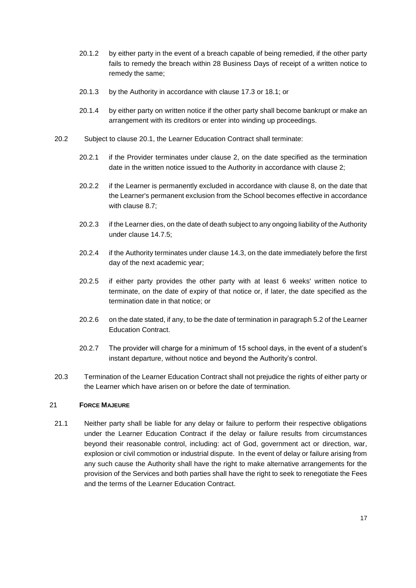- 20.1.2 by either party in the event of a breach capable of being remedied, if the other party fails to remedy the breach within 28 Business Days of receipt of a written notice to remedy the same;
- 20.1.3 by the Authority in accordance with clause 17.3 or 18.1; or
- 20.1.4 by either party on written notice if the other party shall become bankrupt or make an arrangement with its creditors or enter into winding up proceedings.
- 20.2 Subject to clause 20.1, the Learner Education Contract shall terminate:
	- 20.2.1 if the Provider terminates under clause 2, on the date specified as the termination date in the written notice issued to the Authority in accordance with clause 2;
	- 20.2.2 if the Learner is permanently excluded in accordance with clause 8, on the date that the Learner's permanent exclusion from the School becomes effective in accordance with clause 8.7;
	- 20.2.3 if the Learner dies, on the date of death subject to any ongoing liability of the Authority under clause 14.7.5;
	- 20.2.4 if the Authority terminates under clause 14.3, on the date immediately before the first day of the next academic year;
	- 20.2.5 if either party provides the other party with at least 6 weeks' written notice to terminate, on the date of expiry of that notice or, if later, the date specified as the termination date in that notice; or
	- 20.2.6 on the date stated, if any, to be the date of termination in paragraph 5.2 of the Learner Education Contract.
	- 20.2.7 The provider will charge for a minimum of 15 school days, in the event of a student's instant departure, without notice and beyond the Authority's control.
- 20.3 Termination of the Learner Education Contract shall not prejudice the rights of either party or the Learner which have arisen on or before the date of termination.

# 21 **FORCE MAJEURE**

21.1 Neither party shall be liable for any delay or failure to perform their respective obligations under the Learner Education Contract if the delay or failure results from circumstances beyond their reasonable control, including: act of God, government act or direction, war, explosion or civil commotion or industrial dispute. In the event of delay or failure arising from any such cause the Authority shall have the right to make alternative arrangements for the provision of the Services and both parties shall have the right to seek to renegotiate the Fees and the terms of the Learner Education Contract.